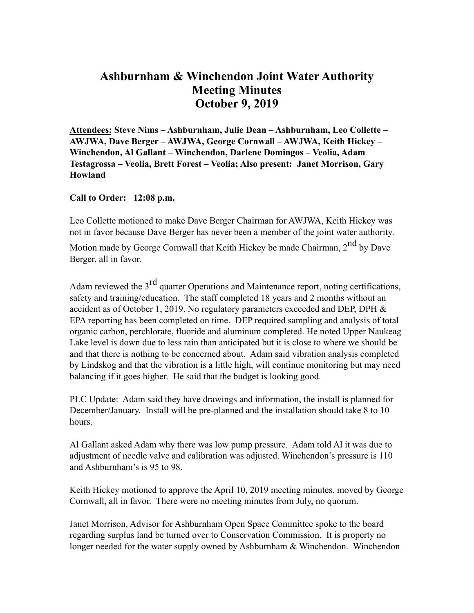## **Ashburnham & Winchendon Joint Water Authority Meeting Minutes October 9, 2019**

**Attendees: Steve Nims – Ashburnham, Julie Dean – Ashburnham, Leo Collette – AWJWA, Dave Berger – AWJWA, George Cornwall – AWJWA, Keith Hickey – Winchendon, Al Gallant – Winchendon, Darlene Domingos – Veolia, Adam Testagrossa – Veolia, Brett Forest – Veolia; Also present: Janet Morrison, Gary Howland**

**Call to Order: 12:08 p.m.**

Leo Collette motioned to make Dave Berger Chairman for AWJWA, Keith Hickey was not in favor because Dave Berger has never been a member of the joint water authority.

Motion made by George Cornwall that Keith Hickey be made Chairman, 2<sup>nd</sup> by Dave Berger, all in favor.

Adam reviewed the 3<sup>rd</sup> quarter Operations and Maintenance report, noting certifications, safety and training/education. The staff completed 18 years and 2 months without an accident as of October 1, 2019. No regulatory parameters exceeded and DEP, DPH  $\&$ EPA reporting has been completed on time. DEP required sampling and analysis of total organic carbon, perchlorate, fluoride and aluminum completed. He noted Upper Naukeag Lake level is down due to less rain than anticipated but it is close to where we should be and that there is nothing to be concerned about. Adam said vibration analysis completed by Lindskog and that the vibration is a little high, will continue monitoring but may need balancing if it goes higher. He said that the budget is looking good.

PLC Update: Adam said they have drawings and information, the install is planned for December/January. Install will be pre-planned and the installation should take 8 to 10 hours.

Al Gallant asked Adam why there was low pump pressure. Adam told Al it was due to adjustment of needle valve and calibration was adjusted. Winchendon's pressure is 110 and Ashburnham's is 95 to 98.

Keith Hickey motioned to approve the April 10, 2019 meeting minutes, moved by George Cornwall, all in favor. There were no meeting minutes from July, no quorum.

Janet Morrison, Advisor for Ashburnham Open Space Committee spoke to the board regarding surplus land be turned over to Conservation Commission. It is property no longer needed for the water supply owned by Ashburnham & Winchendon. Winchendon